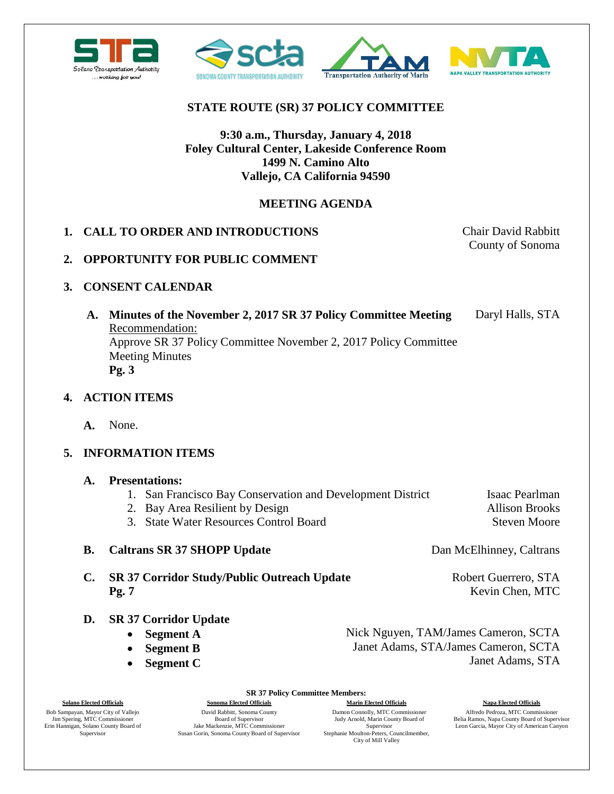



# **STATE ROUTE (SR) 37 POLICY COMMITTEE**

# **9:30 a.m., Thursday, January 4, 2018 Foley Cultural Center, Lakeside Conference Room 1499 N. Camino Alto Vallejo, CA California 94590**

# **MEETING AGENDA**

## **1. CALL TO ORDER AND INTRODUCTIONS** Chair David Rabbitt

County of Sonoma

## **2. OPPORTUNITY FOR PUBLIC COMMENT**

## **3. CONSENT CALENDAR**

**A. Minutes of the November 2, 2017 SR 37 Policy Committee Meeting**  Recommendation: Approve SR 37 Policy Committee November 2, 2017 Policy Committee Meeting Minutes **Pg. 3** Daryl Halls, STA

#### **4. ACTION ITEMS**

**A.** None.

# **5. INFORMATION ITEMS**

- **A. Presentations:**
	- 1. San Francisco Bay Conservation and Development District

**SR 37 Policy Committee Members:**

- 2. Bay Area Resilient by Design
- 3. State Water Resources Control Board

#### **B. Caltrans SR 37 SHOPP Update** Dan McElhinney, Caltrans

- **C. SR 37 Corridor Study/Public Outreach Update Pg. 7**
- **D. SR 37 Corridor Update**
	- **Segment A**
	- **Segment B**
	- **Segment C**

Steven Moore

Robert Guerrero, STA Kevin Chen, MTC

Nick Nguyen, TAM/James Cameron, SCTA Janet Adams, STA/James Cameron, SCTA Janet Adams, STA

Bob Sampayan, Mayor City of Vallejo Jim Spering, MTC Commissioner Erin Hannigan, Solano County Board of Supervisor

David Rabbitt, Sonoma County Board of Supervisor Jake Mackenzie, MTC Commissioner Susan Gorin, Sonoma County Board of Supervisor

**Solano Elected Officials Sonoma Elected Officials Marin Elected Officials Napa Elected Officials** Damon Connolly, MTC Commissioner Judy Arnold, Marin County Board of Supervisor Stephanie Moulton-Peters, Councilmember, City of Mill Valley

Alfredo Pedroza, MTC Commissioner Belia Ramos, Napa County Board of Supervisor Leon Garcia, Mayor City of American Canyon

Isaac Pearlman Allison Brooks